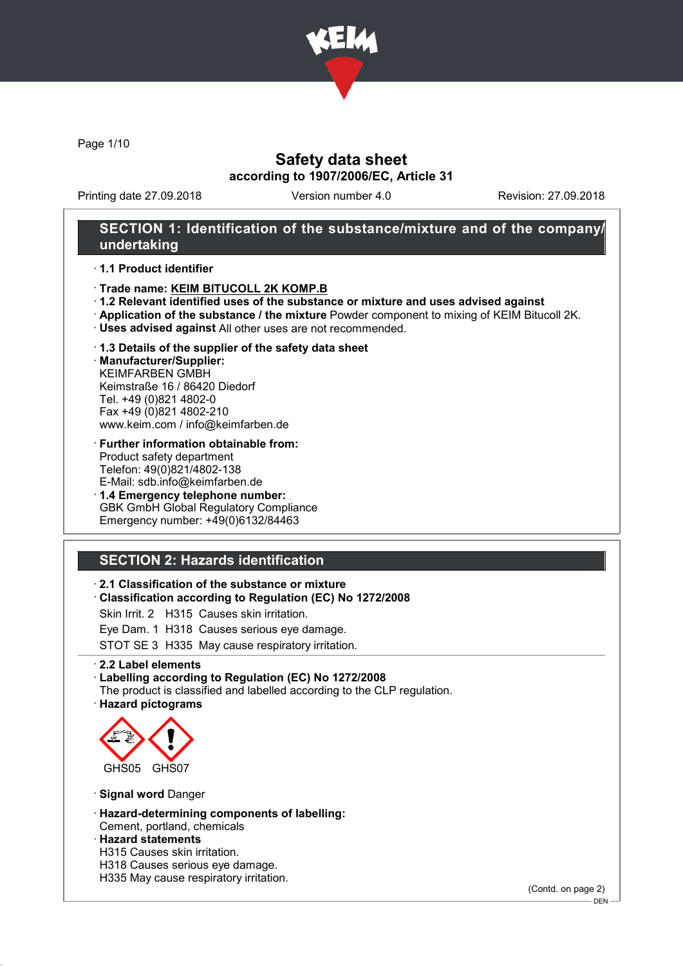

Page 1/10

## Safety data sheet according to 1907/2006/EC, Article 31

Printing date 27.09.2018 Version number 4.0 Revision: 27.09.2018

## SECTION 1: Identification of the substance/mixture and of the company/ undertaking

### · 1.1 Product identifier

- · Trade name: KEIM BITUCOLL 2K KOMP.B
- · 1.2 Relevant identified uses of the substance or mixture and uses advised against
- · Application of the substance / the mixture Powder component to mixing of KEIM Bitucoll 2K.
- · Uses advised against All other uses are not recommended.

#### · 1.3 Details of the supplier of the safety data sheet

· Manufacturer/Supplier: KEIMFARBEN GMBH Keimstraße 16 / 86420 Diedorf Tel. +49 (0)821 4802-0 Fax +49 (0)821 4802-210 www.keim.com / info@keimfarben.de

- · Further information obtainable from: Product safety department Telefon: 49(0)821/4802-138 E-Mail: sdb.info@keimfarben.de
- · 1.4 Emergency telephone number: GBK GmbH Global Regulatory Compliance Emergency number: +49(0)6132/84463

# SECTION 2: Hazards identification

### · 2.1 Classification of the substance or mixture

· Classification according to Regulation (EC) No 1272/2008

Skin Irrit. 2 H315 Causes skin irritation.

Eye Dam. 1 H318 Causes serious eye damage.

STOT SE 3 H335 May cause respiratory irritation.

· 2.2 Label elements

#### · Labelling according to Regulation (EC) No 1272/2008

The product is classified and labelled according to the CLP regulation. · Hazard pictograms



· Signal word Danger

· Hazard-determining components of labelling: Cement, portland, chemicals

#### · Hazard statements

- H315 Causes skin irritation.
- H318 Causes serious eye damage.
- H335 May cause respiratory irritation.

(Contd. on page 2)

<sup>-</sup> DEN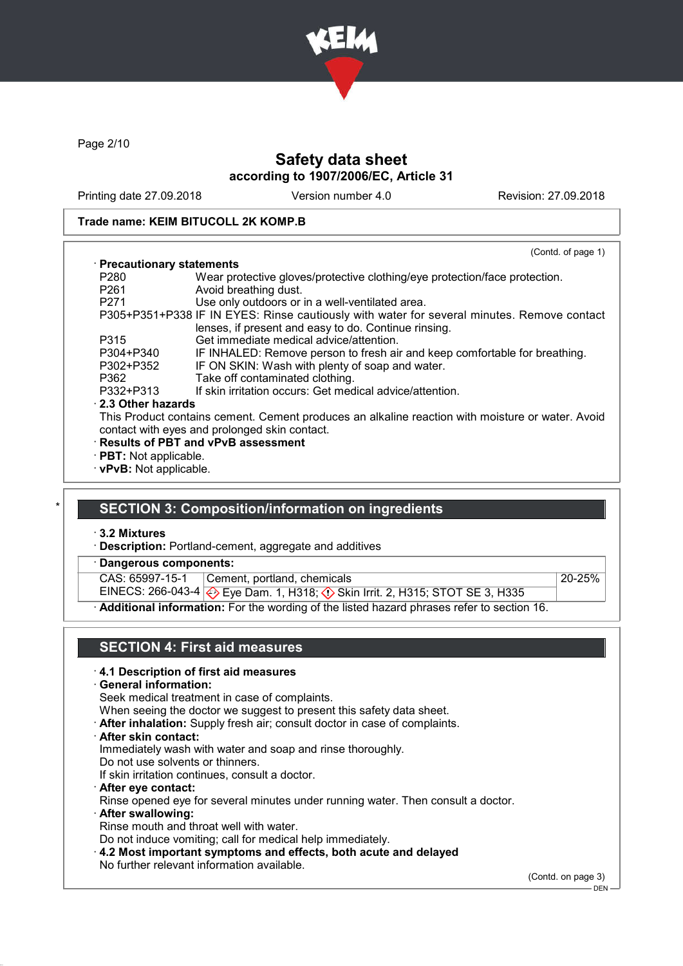

Page 2/10

## Safety data sheet according to 1907/2006/EC, Article 31

Printing date 27.09.2018 Version number 4.0 Revision: 27.09.2018

### Trade name: KEIM BITUCOLL 2K KOMP.B

|                               | (Contd. of page 1)                                                                               |
|-------------------------------|--------------------------------------------------------------------------------------------------|
| · Precautionary statements    |                                                                                                  |
| P280                          | Wear protective gloves/protective clothing/eye protection/face protection.                       |
| P261                          | Avoid breathing dust.                                                                            |
| P271                          | Use only outdoors or in a well-ventilated area.                                                  |
|                               | P305+P351+P338 IF IN EYES: Rinse cautiously with water for several minutes. Remove contact       |
|                               | lenses, if present and easy to do. Continue rinsing.                                             |
| P315                          | Get immediate medical advice/attention.                                                          |
| P304+P340                     | IF INHALED: Remove person to fresh air and keep comfortable for breathing.                       |
| P302+P352                     | IF ON SKIN: Wash with plenty of soap and water.                                                  |
| P362                          | Take off contaminated clothing.                                                                  |
| P332+P313                     | If skin irritation occurs: Get medical advice/attention.                                         |
| 2.3 Other hazards             |                                                                                                  |
|                               | This Product contains cement. Cement produces an alkaline reaction with moisture or water. Avoid |
|                               | contact with eyes and prolonged skin contact.                                                    |
|                               | · Results of PBT and vPvB assessment                                                             |
| $\cdot$ PBT: Not applicable.  |                                                                                                  |
| $\cdot$ vPvB: Not applicable. |                                                                                                  |

# SECTION 3: Composition/information on ingredients

· 3.2 Mixtures

- · Description: Portland-cement, aggregate and additives
- Dangerous components:

CAS: 65997-15-1 Cement, portland, chemicals 20-25%

EINECS: 266-043-4 Eye Dam. 1, H318; Skin Irrit. 2, H315; STOT SE 3, H335

· Additional information: For the wording of the listed hazard phrases refer to section 16.

# SECTION 4: First aid measures

### · 4.1 Description of first aid measures

· General information:

Seek medical treatment in case of complaints.

When seeing the doctor we suggest to present this safety data sheet.

· After inhalation: Supply fresh air; consult doctor in case of complaints.

· After skin contact:

Immediately wash with water and soap and rinse thoroughly.

Do not use solvents or thinners.

If skin irritation continues, consult a doctor.

- · After eye contact: Rinse opened eye for several minutes under running water. Then consult a doctor.
- · After swallowing: Rinse mouth and throat well with water. Do not induce vomiting; call for medical help immediately.
- · 4.2 Most important symptoms and effects, both acute and delayed No further relevant information available.

(Contd. on page 3)

 $-$  DEN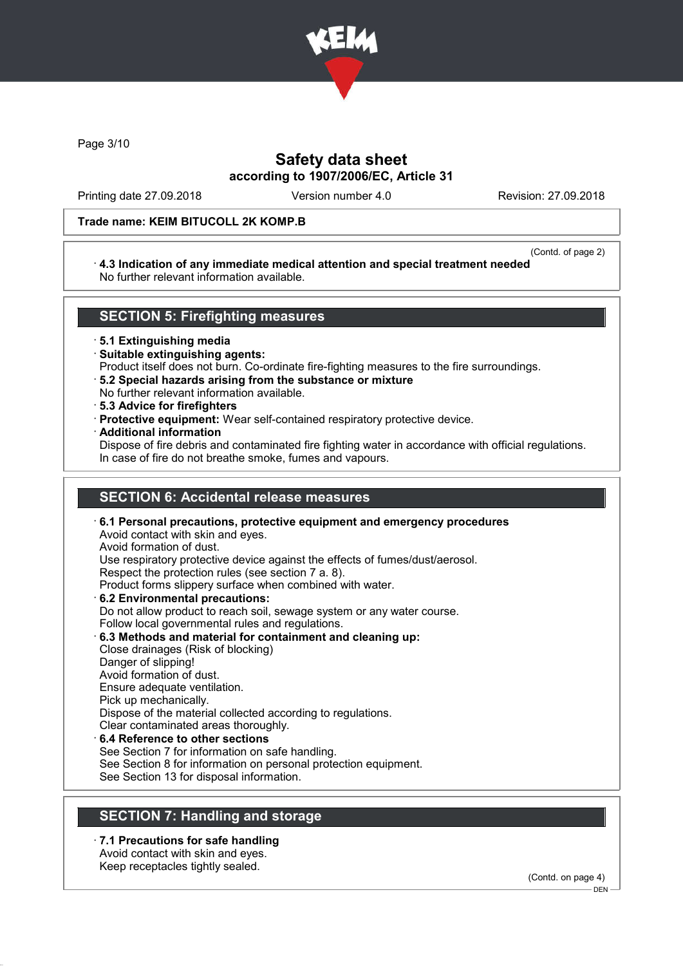

Page 3/10

# Safety data sheet according to 1907/2006/EC, Article 31

Printing date 27.09.2018 Version number 4.0 Revision: 27.09.2018

### Trade name: KEIM BITUCOLL 2K KOMP.B

#### (Contd. of page 2)

### · 4.3 Indication of any immediate medical attention and special treatment needed No further relevant information available.

## SECTION 5: Firefighting measures

· 5.1 Extinguishing media

- · Suitable extinguishing agents:
- Product itself does not burn. Co-ordinate fire-fighting measures to the fire surroundings.
- · 5.2 Special hazards arising from the substance or mixture
- No further relevant information available.
- · 5.3 Advice for firefighters
- · Protective equipment: Wear self-contained respiratory protective device.
- · Additional information

Dispose of fire debris and contaminated fire fighting water in accordance with official regulations. In case of fire do not breathe smoke, fumes and vapours.

# SECTION 6: Accidental release measures

· 6.1 Personal precautions, protective equipment and emergency procedures Avoid contact with skin and eyes. Avoid formation of dust. Use respiratory protective device against the effects of fumes/dust/aerosol. Respect the protection rules (see section 7 a. 8). Product forms slippery surface when combined with water. · 6.2 Environmental precautions: Do not allow product to reach soil, sewage system or any water course. Follow local governmental rules and regulations. · 6.3 Methods and material for containment and cleaning up: Close drainages (Risk of blocking) Danger of slipping! Avoid formation of dust. Ensure adequate ventilation. Pick up mechanically. Dispose of the material collected according to regulations. Clear contaminated areas thoroughly.

# 6.4 Reference to other sections

See Section 7 for information on safe handling.

See Section 8 for information on personal protection equipment.

See Section 13 for disposal information.

# SECTION 7: Handling and storage

· 7.1 Precautions for safe handling Avoid contact with skin and eyes.

Keep receptacles tightly sealed.

(Contd. on page 4)

DEN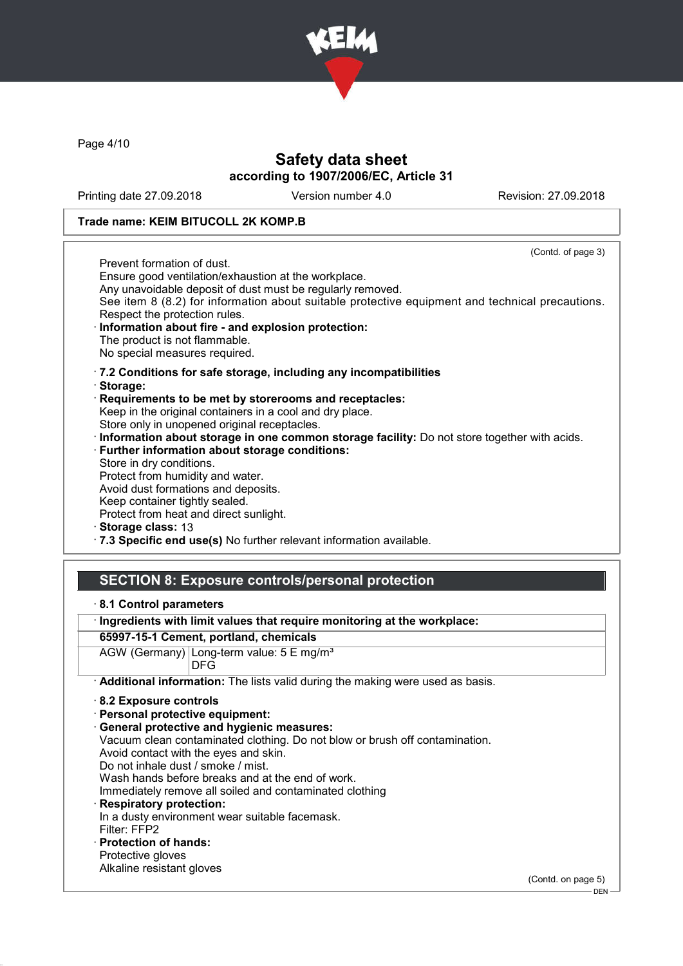

Page 4/10

## Safety data sheet according to 1907/2006/EC, Article 31

Printing date 27.09.2018 Version number 4.0 Revision: 27.09.2018

### Trade name: KEIM BITUCOLL 2K KOMP.B

(Contd. of page 3) Prevent formation of dust. Ensure good ventilation/exhaustion at the workplace. Any unavoidable deposit of dust must be regularly removed. See item 8 (8.2) for information about suitable protective equipment and technical precautions. Respect the protection rules. Information about fire - and explosion protection: The product is not flammable. No special measures required. · 7.2 Conditions for safe storage, including any incompatibilities · Storage: · Requirements to be met by storerooms and receptacles: Keep in the original containers in a cool and dry place. Store only in unopened original receptacles. · Information about storage in one common storage facility: Do not store together with acids. · Further information about storage conditions: Store in dry conditions. Protect from humidity and water. Avoid dust formations and deposits. Keep container tightly sealed. Protect from heat and direct sunlight. Storage class: 13

· 7.3 Specific end use(s) No further relevant information available.

## SECTION 8: Exposure controls/personal protection

- · 8.1 Control parameters
- · Ingredients with limit values that require monitoring at the workplace:

### 65997-15-1 Cement, portland, chemicals

AGW (Germany) Long-term value: 5 E mg/m<sup>3</sup> DFG

· Additional information: The lists valid during the making were used as basis.

- · 8.2 Exposure controls
- · Personal protective equipment:
- · General protective and hygienic measures:
- Vacuum clean contaminated clothing. Do not blow or brush off contamination.
- Avoid contact with the eyes and skin.
- Do not inhale dust / smoke / mist.
- Wash hands before breaks and at the end of work.
- Immediately remove all soiled and contaminated clothing
- Respiratory protection: In a dusty environment wear suitable facemask. Filter: FFP2
- · Protection of hands:
- Protective gloves Alkaline resistant gloves

(Contd. on page 5)

 $-$  DEN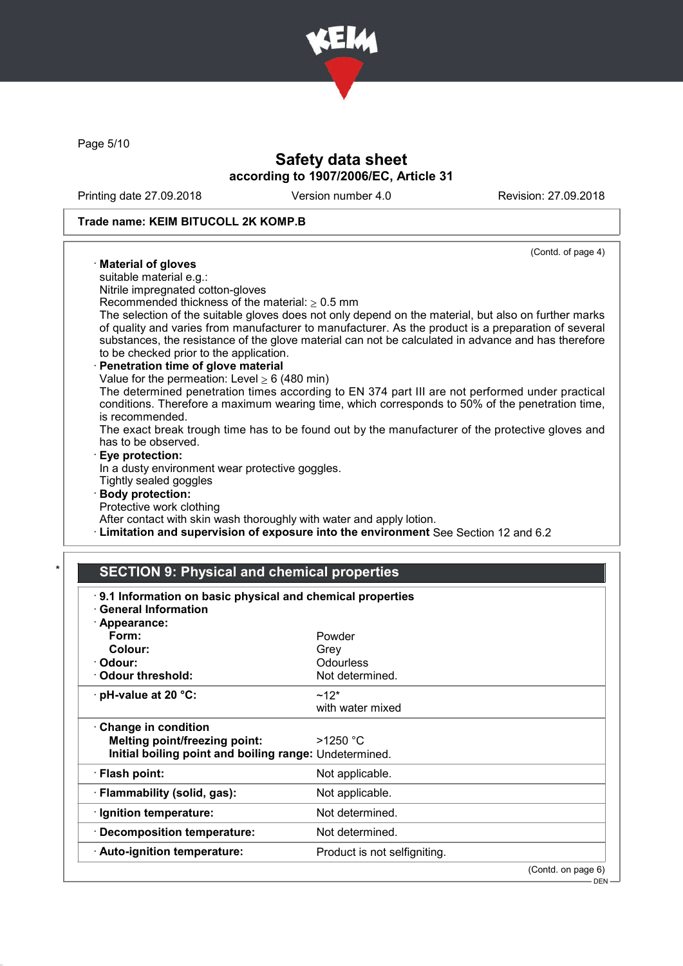

Page 5/10

# Safety data sheet according to 1907/2006/EC, Article 31

Printing date 27.09.2018 Version number 4.0 Revision: 27.09.2018

### Trade name: KEIM BITUCOLL 2K KOMP.B

#### (Contd. of page 4) · Material of gloves suitable material e.g.: Nitrile impregnated cotton-gloves Recommended thickness of the material:  $> 0.5$  mm The selection of the suitable gloves does not only depend on the material, but also on further marks of quality and varies from manufacturer to manufacturer. As the product is a preparation of several substances, the resistance of the glove material can not be calculated in advance and has therefore to be checked prior to the application. Penetration time of glove material Value for the permeation: Level  $\geq 6$  (480 min) The determined penetration times according to EN 374 part III are not performed under practical conditions. Therefore a maximum wearing time, which corresponds to 50% of the penetration time, is recommended. The exact break trough time has to be found out by the manufacturer of the protective gloves and has to be observed. Eye protection: In a dusty environment wear protective goggles. Tightly sealed goggles Body protection: Protective work clothing After contact with skin wash thoroughly with water and apply lotion.

· Limitation and supervision of exposure into the environment See Section 12 and 6.2

## **SECTION 9: Physical and chemical properties**

| · Appearance:                                          |                              |  |
|--------------------------------------------------------|------------------------------|--|
| Form:                                                  | Powder                       |  |
| Colour:                                                | Grey                         |  |
| · Odour:                                               | Odourless                    |  |
| <b>Odour threshold:</b>                                | Not determined.              |  |
| pH-value at 20 °C:                                     | $~12*$                       |  |
|                                                        | with water mixed             |  |
| $\cdot$ Change in condition                            |                              |  |
| Melting point/freezing point:                          | >1250 °C                     |  |
| Initial boiling point and boiling range: Undetermined. |                              |  |
| $\cdot$ Flash point:                                   | Not applicable.              |  |
| · Flammability (solid, gas):                           | Not applicable.              |  |
| · Ignition temperature:                                | Not determined.              |  |
| <b>Decomposition temperature:</b>                      | Not determined.              |  |
| · Auto-ignition temperature:                           | Product is not selfigniting. |  |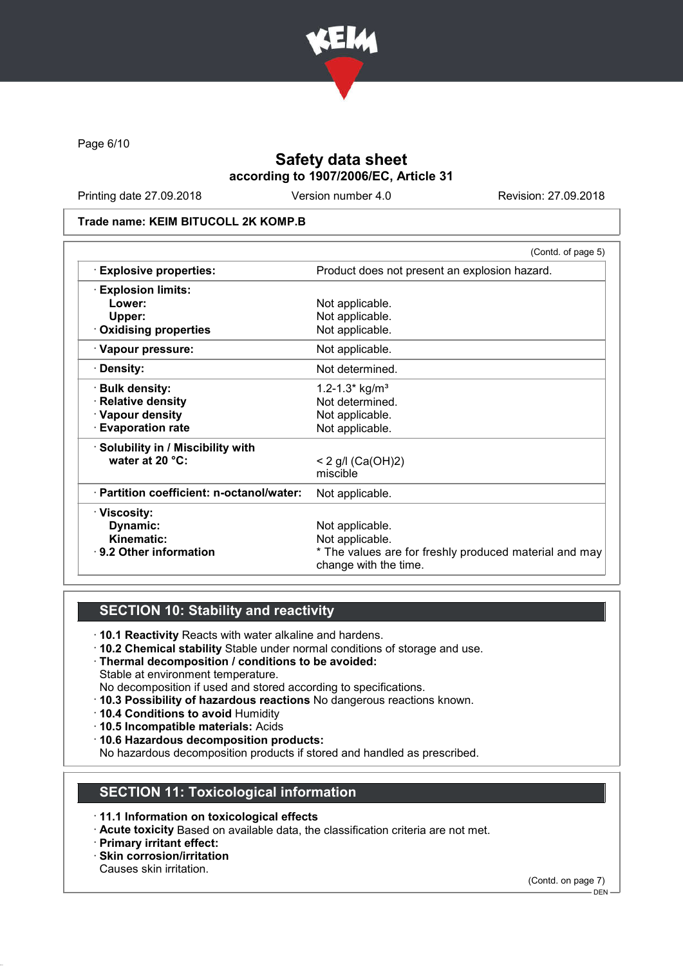

Page 6/10

# Safety data sheet according to 1907/2006/EC, Article 31

Printing date 27.09.2018 Version number 4.0 Revision: 27.09.2018

### Trade name: KEIM BITUCOLL 2K KOMP.B

|                                           | (Contd. of page 5)                                                              |
|-------------------------------------------|---------------------------------------------------------------------------------|
| <b>Explosive properties:</b>              | Product does not present an explosion hazard.                                   |
| $\cdot$ Explosion limits:                 |                                                                                 |
| Lower:                                    | Not applicable.                                                                 |
| Upper:                                    | Not applicable.                                                                 |
| $\cdot$ Oxidising properties              | Not applicable.                                                                 |
| · Vapour pressure:                        | Not applicable.                                                                 |
| · Density:                                | Not determined.                                                                 |
| · Bulk density:                           | 1.2-1.3* kg/m <sup>3</sup>                                                      |
| · Relative density                        | Not determined.                                                                 |
| · Vapour density                          | Not applicable.                                                                 |
| <b>Evaporation rate</b>                   | Not applicable.                                                                 |
| · Solubility in / Miscibility with        |                                                                                 |
| water at 20 °C:                           | $< 2$ g/l (Ca(OH)2)                                                             |
|                                           | miscible                                                                        |
| · Partition coefficient: n-octanol/water: | Not applicable.                                                                 |
| · Viscosity:                              |                                                                                 |
| Dynamic:                                  | Not applicable.                                                                 |
| <b>Kinematic:</b>                         | Not applicable.                                                                 |
| · 9.2 Other information                   | * The values are for freshly produced material and may<br>change with the time. |
|                                           |                                                                                 |

# SECTION 10: Stability and reactivity

- · 10.1 Reactivity Reacts with water alkaline and hardens.
- · 10.2 Chemical stability Stable under normal conditions of storage and use.
- · Thermal decomposition / conditions to be avoided: Stable at environment temperature.
- No decomposition if used and stored according to specifications.
- · 10.3 Possibility of hazardous reactions No dangerous reactions known.
- · 10.4 Conditions to avoid Humidity
- · 10.5 Incompatible materials: Acids
- · 10.6 Hazardous decomposition products:

No hazardous decomposition products if stored and handled as prescribed.

## SECTION 11: Toxicological information

- · 11.1 Information on toxicological effects
- · Acute toxicity Based on available data, the classification criteria are not met.
- · Primary irritant effect:
- · Skin corrosion/irritation
- Causes skin irritation.

(Contd. on page 7)

<sup>-</sup> DEN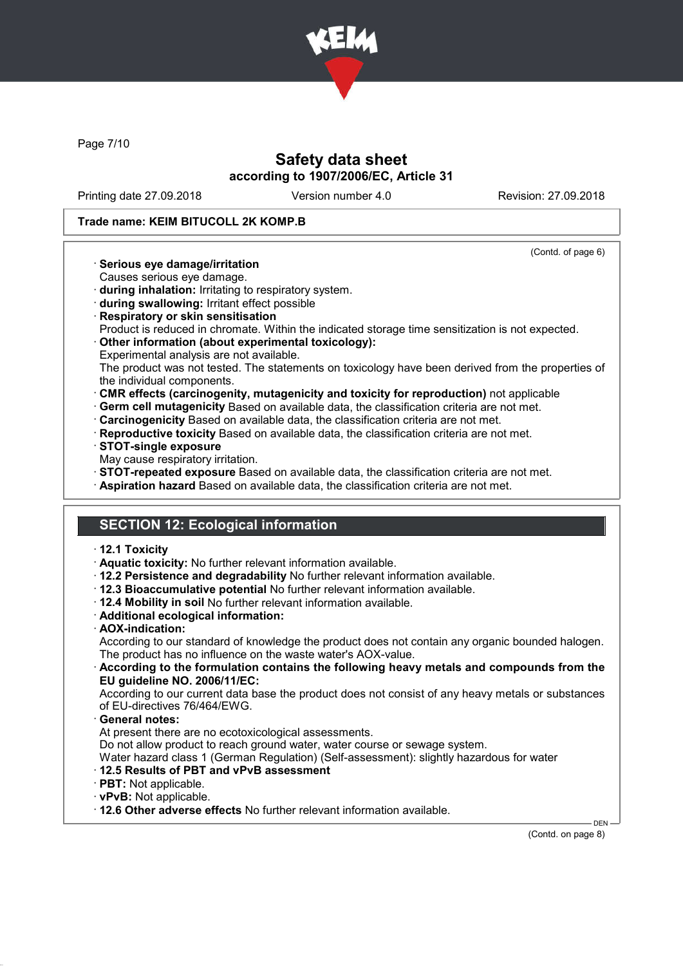

Page 7/10

# Safety data sheet according to 1907/2006/EC, Article 31

Printing date 27.09.2018 Version number 4.0 Revision: 27.09.2018

### Trade name: KEIM BITUCOLL 2K KOMP.B

(Contd. of page 6)

- · Serious eye damage/irritation
- Causes serious eye damage.
- · during inhalation: Irritating to respiratory system.
- · during swallowing: Irritant effect possible
- · Respiratory or skin sensitisation
- Product is reduced in chromate. Within the indicated storage time sensitization is not expected.
- · Other information (about experimental toxicology):
- Experimental analysis are not available.

The product was not tested. The statements on toxicology have been derived from the properties of the individual components.

- · CMR effects (carcinogenity, mutagenicity and toxicity for reproduction) not applicable
- · Germ cell mutagenicity Based on available data, the classification criteria are not met.
- · Carcinogenicity Based on available data, the classification criteria are not met.
- · Reproductive toxicity Based on available data, the classification criteria are not met.
- · STOT-single exposure
- May cause respiratory irritation.
- · STOT-repeated exposure Based on available data, the classification criteria are not met.
- · Aspiration hazard Based on available data, the classification criteria are not met.

# SECTION 12: Ecological information

#### · 12.1 Toxicity

- · Aquatic toxicity: No further relevant information available.
- · 12.2 Persistence and degradability No further relevant information available.
- · 12.3 Bioaccumulative potential No further relevant information available.
- · 12.4 Mobility in soil No further relevant information available.
- · Additional ecological information:
- · AOX-indication:

According to our standard of knowledge the product does not contain any organic bounded halogen. The product has no influence on the waste water's AOX-value.

· According to the formulation contains the following heavy metals and compounds from the EU guideline NO. 2006/11/EC:

According to our current data base the product does not consist of any heavy metals or substances of EU-directives 76/464/EWG.

General notes:

At present there are no ecotoxicological assessments.

Do not allow product to reach ground water, water course or sewage system.

Water hazard class 1 (German Regulation) (Self-assessment): slightly hazardous for water

- · 12.5 Results of PBT and vPvB assessment
- · PBT: Not applicable.
- · vPvB: Not applicable.
- · 12.6 Other adverse effects No further relevant information available.

(Contd. on page 8)

DEN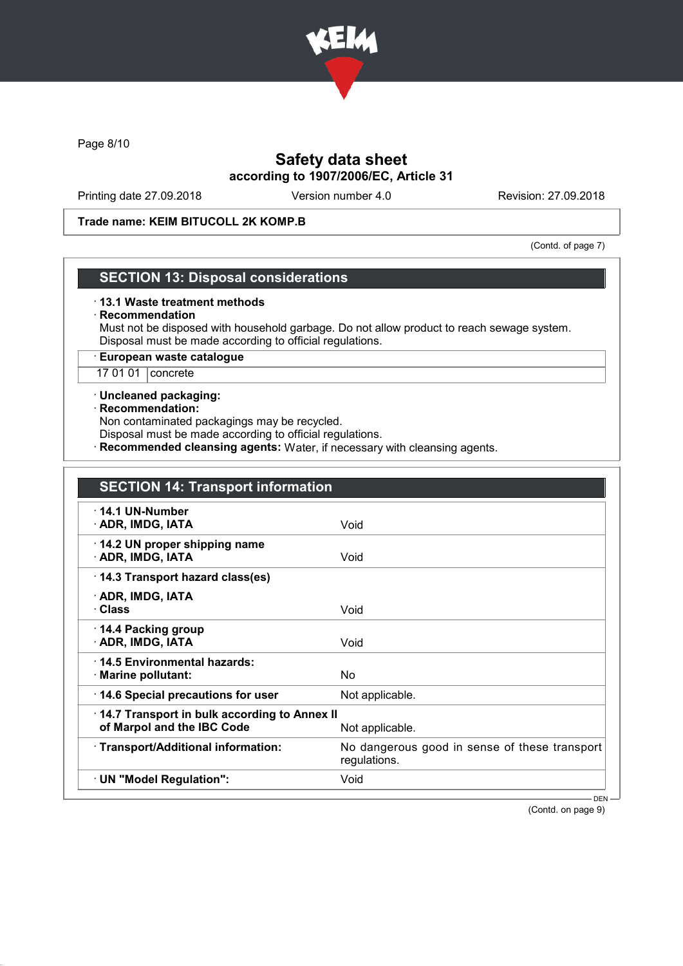

Page 8/10

# Safety data sheet according to 1907/2006/EC, Article 31

Printing date 27.09.2018 Version number 4.0 Revision: 27.09.2018

### Trade name: KEIM BITUCOLL 2K KOMP.B

(Contd. of page 7)

## SECTION 13: Disposal considerations

### · 13.1 Waste treatment methods

#### · Recommendation

Must not be disposed with household garbage. Do not allow product to reach sewage system. Disposal must be made according to official regulations.

### · European waste catalogue

17 01 01 concrete

### · Uncleaned packaging:

### · Recommendation:

Non contaminated packagings may be recycled.

Disposal must be made according to official regulations.

· Recommended cleansing agents: Water, if necessary with cleansing agents.

| <b>SECTION 14: Transport information</b>                                   |                                                               |
|----------------------------------------------------------------------------|---------------------------------------------------------------|
| $\cdot$ 14.1 UN-Number<br>· ADR, IMDG, IATA                                | Void                                                          |
| 14.2 UN proper shipping name<br>· ADR, IMDG, IATA                          | Void                                                          |
| 14.3 Transport hazard class(es)                                            |                                                               |
| · ADR, IMDG, IATA<br>· Class                                               | Void                                                          |
| 14.4 Packing group<br>· ADR, IMDG, IATA                                    | Void                                                          |
| 14.5 Environmental hazards:<br>· Marine pollutant:                         | No                                                            |
| 14.6 Special precautions for user                                          | Not applicable.                                               |
| 14.7 Transport in bulk according to Annex II<br>of Marpol and the IBC Code | Not applicable.                                               |
| · Transport/Additional information:                                        | No dangerous good in sense of these transport<br>regulations. |
| · UN "Model Regulation":                                                   | Void                                                          |
|                                                                            | $DEN -$                                                       |

(Contd. on page 9)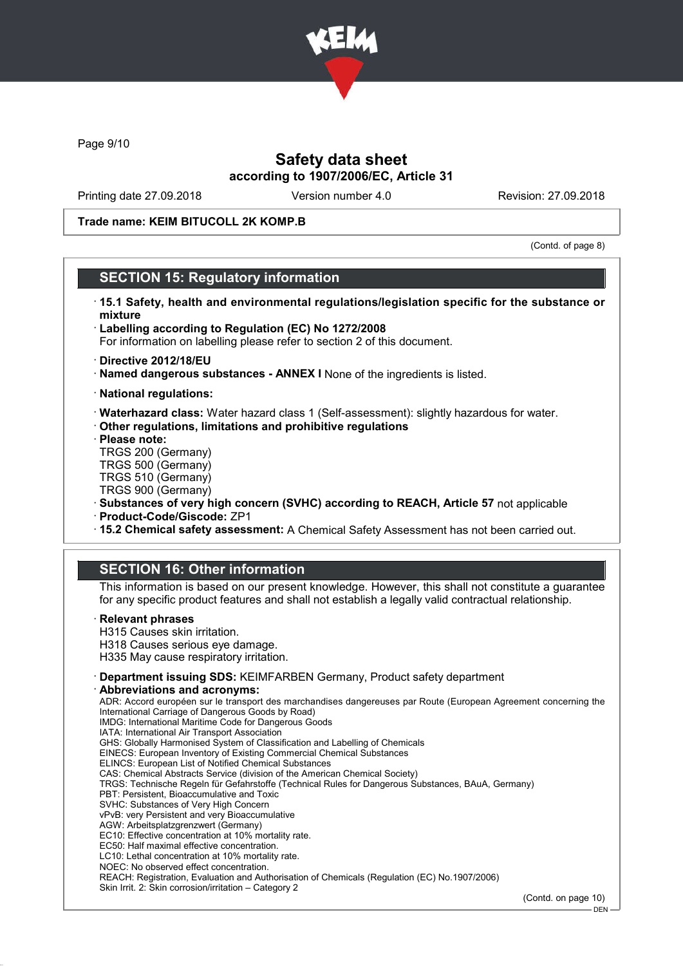

Page 9/10

## Safety data sheet according to 1907/2006/EC, Article 31

Printing date 27.09.2018 Version number 4.0 Revision: 27.09.2018

Trade name: KEIM BITUCOLL 2K KOMP.B

(Contd. of page 8)

## SECTION 15: Regulatory information

- · 15.1 Safety, health and environmental regulations/legislation specific for the substance or mixture
- · Labelling according to Regulation (EC) No 1272/2008
- For information on labelling please refer to section 2 of this document.
- · Directive 2012/18/EU
- · Named dangerous substances ANNEX I None of the ingredients is listed.
- · National regulations:
- · Waterhazard class: Water hazard class 1 (Self-assessment): slightly hazardous for water.
- · Other regulations, limitations and prohibitive regulations
- · Please note:
- TRGS 200 (Germany) TRGS 500 (Germany)
- TRGS 510 (Germany) TRGS 900 (Germany)
- · Substances of very high concern (SVHC) according to REACH, Article 57 not applicable
- · Product-Code/Giscode: ZP1
- · 15.2 Chemical safety assessment: A Chemical Safety Assessment has not been carried out.

## SECTION 16: Other information

This information is based on our present knowledge. However, this shall not constitute a guarantee for any specific product features and shall not establish a legally valid contractual relationship.

#### **Relevant phrases**

- H315 Causes skin irritation. H318 Causes serious eye damage.
- H335 May cause respiratory irritation.
- · Department issuing SDS: KEIMFARBEN Germany, Product safety department
- Abbreviations and acronyms:

ADR: Accord européen sur le transport des marchandises dangereuses par Route (European Agreement concerning the International Carriage of Dangerous Goods by Road) IMDG: International Maritime Code for Dangerous Goods IATA: International Air Transport Association GHS: Globally Harmonised System of Classification and Labelling of Chemicals EINECS: European Inventory of Existing Commercial Chemical Substances ELINCS: European List of Notified Chemical Substances CAS: Chemical Abstracts Service (division of the American Chemical Society) TRGS: Technische Regeln für Gefahrstoffe (Technical Rules for Dangerous Substances, BAuA, Germany) PBT: Persistent, Bioaccumulative and Toxic SVHC: Substances of Very High Concern vPvB: very Persistent and very Bioaccumulative AGW: Arbeitsplatzgrenzwert (Germany) EC10: Effective concentration at 10% mortality rate. EC50: Half maximal effective concentration. LC10: Lethal concentration at 10% mortality rate. NOEC: No observed effect concentration. REACH: Registration, Evaluation and Authorisation of Chemicals (Regulation (EC) No.1907/2006) Skin Irrit. 2: Skin corrosion/irritation – Category 2

(Contd. on page 10)

 $-$  DEN